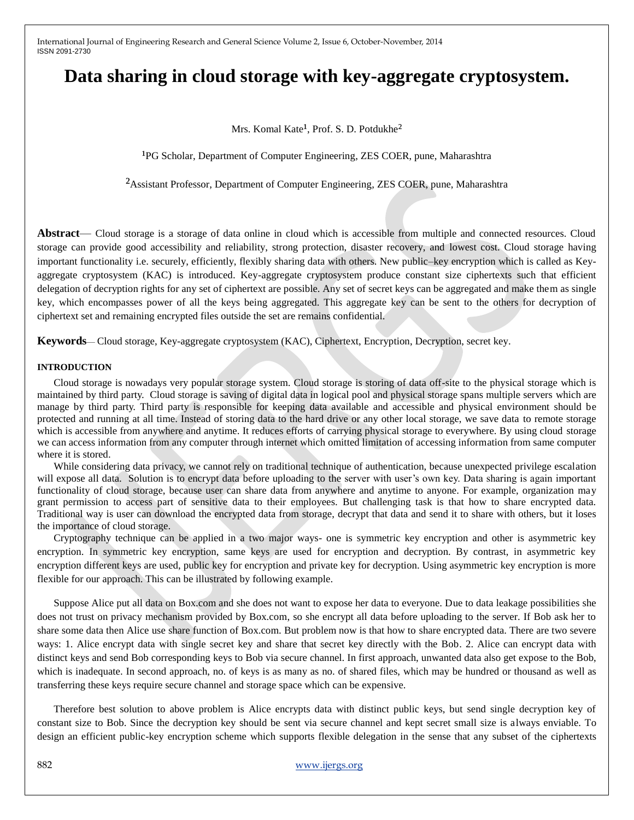# **Data sharing in cloud storage with key-aggregate cryptosystem.**

Mrs. Komal Kate<sup>1</sup>, Prof. S. D. Potdukhe<sup>2</sup>

<sup>1</sup>PG Scholar, Department of Computer Engineering, ZES COER, pune, Maharashtra

<sup>2</sup>Assistant Professor, Department of Computer Engineering, ZES COER, pune, Maharashtra

**Abstract**— Cloud storage is a storage of data online in cloud which is accessible from multiple and connected resources. Cloud storage can provide good accessibility and reliability, strong protection, disaster recovery, and lowest cost. Cloud storage having important functionality i.e. securely, efficiently, flexibly sharing data with others. New public–key encryption which is called as Keyaggregate cryptosystem (KAC) is introduced. Key-aggregate cryptosystem produce constant size ciphertexts such that efficient delegation of decryption rights for any set of ciphertext are possible. Any set of secret keys can be aggregated and make them as single key, which encompasses power of all the keys being aggregated. This aggregate key can be sent to the others for decryption of ciphertext set and remaining encrypted files outside the set are remains confidential.

**Keywords**— Cloud storage, Key-aggregate cryptosystem (KAC), Ciphertext, Encryption, Decryption, secret key.

#### **INTRODUCTION**

Cloud storage is nowadays very popular storage system. Cloud storage is storing of data off-site to the physical storage which is maintained by third party. Cloud storage is saving of digital data in logical pool and physical storage spans multiple servers which are manage by third party. Third party is responsible for keeping data available and accessible and physical environment should be protected and running at all time. Instead of storing data to the hard drive or any other local storage, we save data to remote storage which is accessible from anywhere and anytime. It reduces efforts of carrying physical storage to everywhere. By using cloud storage we can access information from any computer through internet which omitted limitation of accessing information from same computer where it is stored.

While considering data privacy, we cannot rely on traditional technique of authentication, because unexpected privilege escalation will expose all data. Solution is to encrypt data before uploading to the server with user's own key. Data sharing is again important functionality of cloud storage, because user can share data from anywhere and anytime to anyone. For example, organization may grant permission to access part of sensitive data to their employees. But challenging task is that how to share encrypted data. Traditional way is user can download the encrypted data from storage, decrypt that data and send it to share with others, but it loses the importance of cloud storage.

Cryptography technique can be applied in a two major ways- one is symmetric key encryption and other is asymmetric key encryption. In symmetric key encryption, same keys are used for encryption and decryption. By contrast, in asymmetric key encryption different keys are used, public key for encryption and private key for decryption. Using asymmetric key encryption is more flexible for our approach. This can be illustrated by following example.

Suppose Alice put all data on Box.com and she does not want to expose her data to everyone. Due to data leakage possibilities she does not trust on privacy mechanism provided by Box.com, so she encrypt all data before uploading to the server. If Bob ask her to share some data then Alice use share function of Box.com. But problem now is that how to share encrypted data. There are two severe ways: 1. Alice encrypt data with single secret key and share that secret key directly with the Bob. 2. Alice can encrypt data with distinct keys and send Bob corresponding keys to Bob via secure channel. In first approach, unwanted data also get expose to the Bob, which is inadequate. In second approach, no. of keys is as many as no. of shared files, which may be hundred or thousand as well as transferring these keys require secure channel and storage space which can be expensive.

Therefore best solution to above problem is Alice encrypts data with distinct public keys, but send single decryption key of constant size to Bob. Since the decryption key should be sent via secure channel and kept secret small size is always enviable. To design an efficient public-key encryption scheme which supports flexible delegation in the sense that any subset of the ciphertexts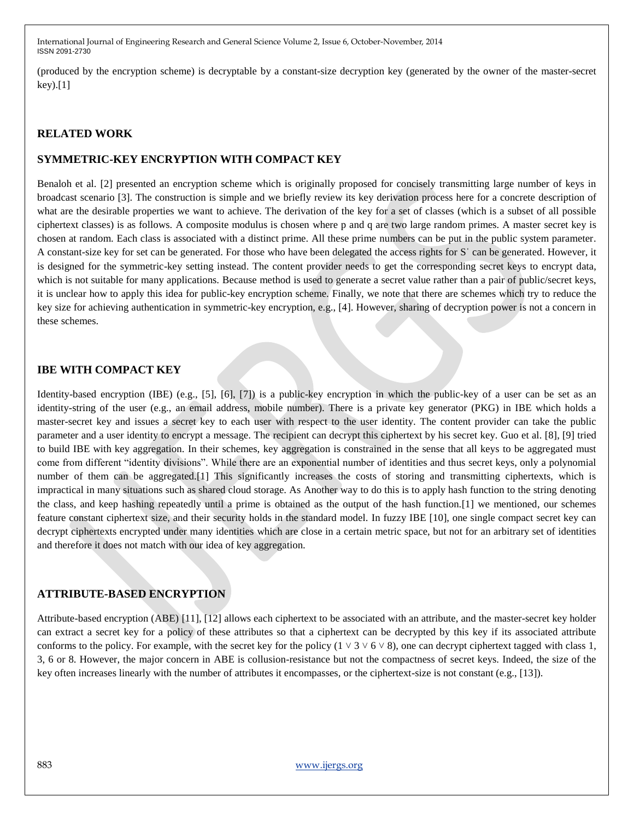(produced by the encryption scheme) is decryptable by a constant-size decryption key (generated by the owner of the master-secret  $key$ .[1]

# **RELATED WORK**

# **SYMMETRIC-KEY ENCRYPTION WITH COMPACT KEY**

Benaloh et al. [2] presented an encryption scheme which is originally proposed for concisely transmitting large number of keys in broadcast scenario [3]. The construction is simple and we briefly review its key derivation process here for a concrete description of what are the desirable properties we want to achieve. The derivation of the key for a set of classes (which is a subset of all possible ciphertext classes) is as follows. A composite modulus is chosen where p and q are two large random primes. A master secret key is chosen at random. Each class is associated with a distinct prime. All these prime numbers can be put in the public system parameter. A constant-size key for set can be generated. For those who have been delegated the access rights for Sˈ can be generated. However, it is designed for the symmetric-key setting instead. The content provider needs to get the corresponding secret keys to encrypt data, which is not suitable for many applications. Because method is used to generate a secret value rather than a pair of public/secret keys, it is unclear how to apply this idea for public-key encryption scheme. Finally, we note that there are schemes which try to reduce the key size for achieving authentication in symmetric-key encryption, e.g., [4]. However, sharing of decryption power is not a concern in these schemes.

## **IBE WITH COMPACT KEY**

Identity-based encryption (IBE) (e.g., [5], [6], [7]) is a public-key encryption in which the public-key of a user can be set as an identity-string of the user (e.g., an email address, mobile number). There is a private key generator (PKG) in IBE which holds a master-secret key and issues a secret key to each user with respect to the user identity. The content provider can take the public parameter and a user identity to encrypt a message. The recipient can decrypt this ciphertext by his secret key. Guo et al. [8], [9] tried to build IBE with key aggregation. In their schemes, key aggregation is constrained in the sense that all keys to be aggregated must come from different "identity divisions". While there are an exponential number of identities and thus secret keys, only a polynomial number of them can be aggregated.[1] This significantly increases the costs of storing and transmitting ciphertexts, which is impractical in many situations such as shared cloud storage. As Another way to do this is to apply hash function to the string denoting the class, and keep hashing repeatedly until a prime is obtained as the output of the hash function.[1] we mentioned, our schemes feature constant ciphertext size, and their security holds in the standard model. In fuzzy IBE [10], one single compact secret key can decrypt ciphertexts encrypted under many identities which are close in a certain metric space, but not for an arbitrary set of identities and therefore it does not match with our idea of key aggregation.

### **ATTRIBUTE-BASED ENCRYPTION**

Attribute-based encryption (ABE) [11], [12] allows each ciphertext to be associated with an attribute, and the master-secret key holder can extract a secret key for a policy of these attributes so that a ciphertext can be decrypted by this key if its associated attribute conforms to the policy. For example, with the secret key for the policy  $(1 \vee 3 \vee 6 \vee 8)$ , one can decrypt ciphertext tagged with class 1, 3, 6 or 8. However, the major concern in ABE is collusion-resistance but not the compactness of secret keys. Indeed, the size of the key often increases linearly with the number of attributes it encompasses, or the ciphertext-size is not constant (e.g., [13]).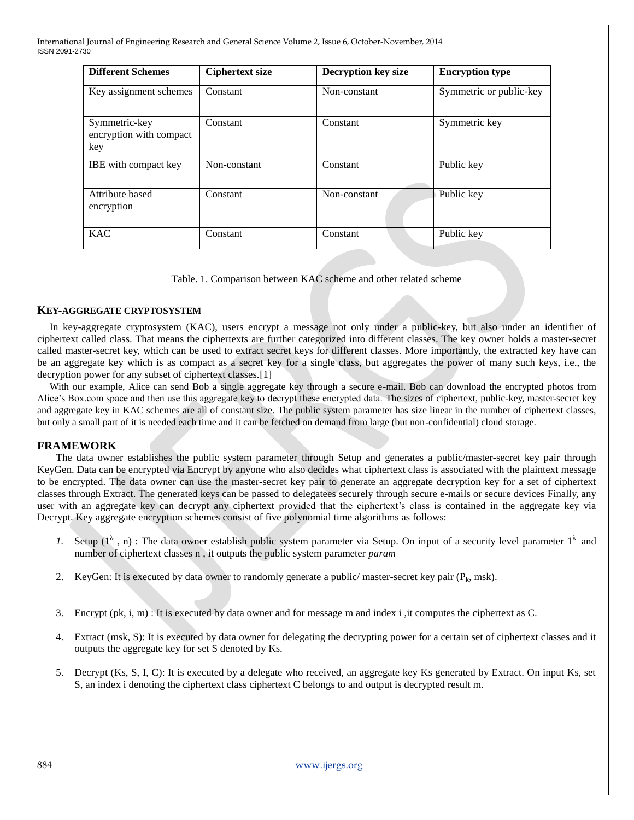| <b>Different Schemes</b>                        | <b>Ciphertext size</b> | <b>Decryption key size</b> | <b>Encryption type</b>  |
|-------------------------------------------------|------------------------|----------------------------|-------------------------|
| Key assignment schemes                          | Constant               | Non-constant               | Symmetric or public-key |
| Symmetric-key<br>encryption with compact<br>key | Constant               | Constant                   | Symmetric key           |
| IBE with compact key                            | Non-constant           | Constant                   | Public key              |
| Attribute based<br>encryption                   | Constant               | Non-constant               | Public key              |
| <b>KAC</b>                                      | Constant               | Constant                   | Public key              |

Table. 1. Comparison between KAC scheme and other related scheme

#### **KEY-AGGREGATE CRYPTOSYSTEM**

In key-aggregate cryptosystem (KAC), users encrypt a message not only under a public-key, but also under an identifier of ciphertext called class. That means the ciphertexts are further categorized into different classes. The key owner holds a master-secret called master-secret key, which can be used to extract secret keys for different classes. More importantly, the extracted key have can be an aggregate key which is as compact as a secret key for a single class, but aggregates the power of many such keys, i.e., the decryption power for any subset of ciphertext classes.<sup>[1]</sup>

With our example, Alice can send Bob a single aggregate key through a secure e-mail. Bob can download the encrypted photos from Alice's Box.com space and then use this aggregate key to decrypt these encrypted data. The sizes of ciphertext, public-key, master-secret key and aggregate key in KAC schemes are all of constant size. The public system parameter has size linear in the number of ciphertext classes, but only a small part of it is needed each time and it can be fetched on demand from large (but non-confidential) cloud storage.

#### **FRAMEWORK**

The data owner establishes the public system parameter through Setup and generates a public/master-secret key pair through KeyGen. Data can be encrypted via Encrypt by anyone who also decides what ciphertext class is associated with the plaintext message to be encrypted. The data owner can use the master-secret key pair to generate an aggregate decryption key for a set of ciphertext classes through Extract. The generated keys can be passed to delegatees securely through secure e-mails or secure devices Finally, any user with an aggregate key can decrypt any ciphertext provided that the ciphertext's class is contained in the aggregate key via Decrypt. Key aggregate encryption schemes consist of five polynomial time algorithms as follows:

- *1.* Setup  $(1^{\lambda}, n)$ : The data owner establish public system parameter via Setup. On input of a security level parameter  $1^{\lambda}$  and number of ciphertext classes n , it outputs the public system parameter *param*
- 2. KeyGen: It is executed by data owner to randomly generate a public/ master-secret key pair  $(P_k, msk)$ .
- 3. Encrypt (pk, i, m) : It is executed by data owner and for message m and index i ,it computes the ciphertext as C.
- 4. Extract (msk, S): It is executed by data owner for delegating the decrypting power for a certain set of ciphertext classes and it outputs the aggregate key for set S denoted by Ks.
- 5. Decrypt (Ks, S, I, C): It is executed by a delegate who received, an aggregate key Ks generated by Extract. On input Ks, set S, an index i denoting the ciphertext class ciphertext C belongs to and output is decrypted result m.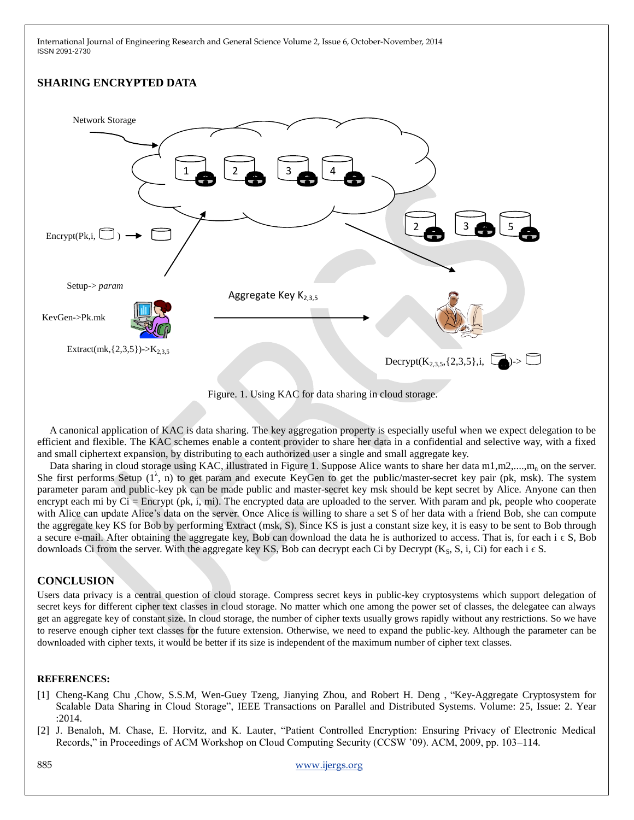# **SHARING ENCRYPTED DATA**



Figure. 1. Using KAC for data sharing in cloud storage.

A canonical application of KAC is data sharing. The key aggregation property is especially useful when we expect delegation to be efficient and flexible. The KAC schemes enable a content provider to share her data in a confidential and selective way, with a fixed and small ciphertext expansion, by distributing to each authorized user a single and small aggregate key.

Data sharing in cloud storage using KAC, illustrated in Figure 1. Suppose Alice wants to share her data  $m1,m2,...,m_n$  on the server. She first performs Setup  $(1^{\lambda}, n)$  to get param and execute KeyGen to get the public/master-secret key pair (pk, msk). The system parameter param and public-key pk can be made public and master-secret key msk should be kept secret by Alice. Anyone can then encrypt each mi by  $Ci = \text{Energy}$  (pk, i, mi). The encrypted data are uploaded to the server. With param and pk, people who cooperate with Alice can update Alice's data on the server. Once Alice is willing to share a set S of her data with a friend Bob, she can compute the aggregate key KS for Bob by performing Extract (msk, S). Since KS is just a constant size key, it is easy to be sent to Bob through a secure e-mail. After obtaining the aggregate key, Bob can download the data he is authorized to access. That is, for each  $\in S$ , Bob downloads Ci from the server. With the aggregate key KS, Bob can decrypt each Ci by Decrypt (K<sub>S</sub>, S, i, Ci) for each  $i \in S$ .

# **CONCLUSION**

Users data privacy is a central question of cloud storage. Compress secret keys in public-key cryptosystems which support delegation of secret keys for different cipher text classes in cloud storage. No matter which one among the power set of classes, the delegatee can always get an aggregate key of constant size. In cloud storage, the number of cipher texts usually grows rapidly without any restrictions. So we have to reserve enough cipher text classes for the future extension. Otherwise, we need to expand the public-key. Although the parameter can be downloaded with cipher texts, it would be better if its size is independent of the maximum number of cipher text classes.

#### **REFERENCES:**

- [1] Cheng-Kang Chu ,Chow, S.S.M, Wen-Guey Tzeng, Jianying Zhou, and Robert H. Deng , "Key-Aggregate Cryptosystem for Scalable Data Sharing in Cloud Storage", IEEE Transactions on Parallel and Distributed Systems. Volume: 25, Issue: 2. Year :2014.
- [2] J. Benaloh, M. Chase, E. Horvitz, and K. Lauter, "Patient Controlled Encryption: Ensuring Privacy of Electronic Medical Records," in Proceedings of ACM Workshop on Cloud Computing Security (CCSW '09). ACM, 2009, pp. 103–114.